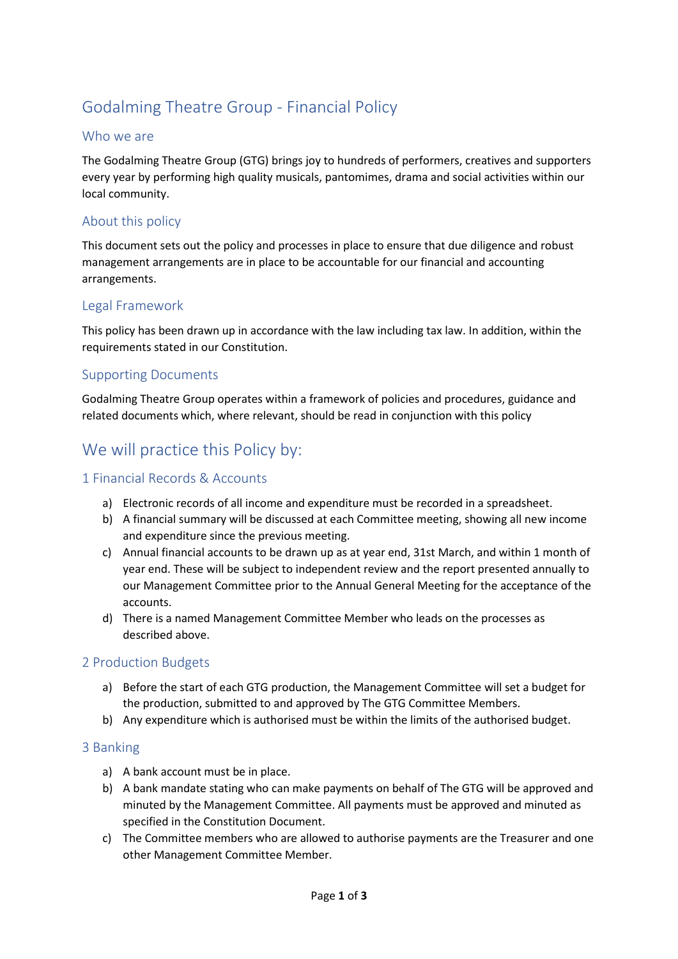# Godalming Theatre Group - Financial Policy

### Who we are

The Godalming Theatre Group (GTG) brings joy to hundreds of performers, creatives and supporters every year by performing high quality musicals, pantomimes, drama and social activities within our local community.

### About this policy

This document sets out the policy and processes in place to ensure that due diligence and robust management arrangements are in place to be accountable for our financial and accounting arrangements.

#### Legal Framework

This policy has been drawn up in accordance with the law including tax law. In addition, within the requirements stated in our Constitution.

#### Supporting Documents

Godalming Theatre Group operates within a framework of policies and procedures, guidance and related documents which, where relevant, should be read in conjunction with this policy

## We will practice this Policy by:

#### 1 Financial Records & Accounts

- a) Electronic records of all income and expenditure must be recorded in a spreadsheet.
- b) A financial summary will be discussed at each Committee meeting, showing all new income and expenditure since the previous meeting.
- c) Annual financial accounts to be drawn up as at year end, 31st March, and within 1 month of year end. These will be subject to independent review and the report presented annually to our Management Committee prior to the Annual General Meeting for the acceptance of the accounts.
- d) There is a named Management Committee Member who leads on the processes as described above.

#### 2 Production Budgets

- a) Before the start of each GTG production, the Management Committee will set a budget for the production, submitted to and approved by The GTG Committee Members.
- b) Any expenditure which is authorised must be within the limits of the authorised budget.

#### 3 Banking

- a) A bank account must be in place.
- b) A bank mandate stating who can make payments on behalf of The GTG will be approved and minuted by the Management Committee. All payments must be approved and minuted as specified in the Constitution Document.
- c) The Committee members who are allowed to authorise payments are the Treasurer and one other Management Committee Member.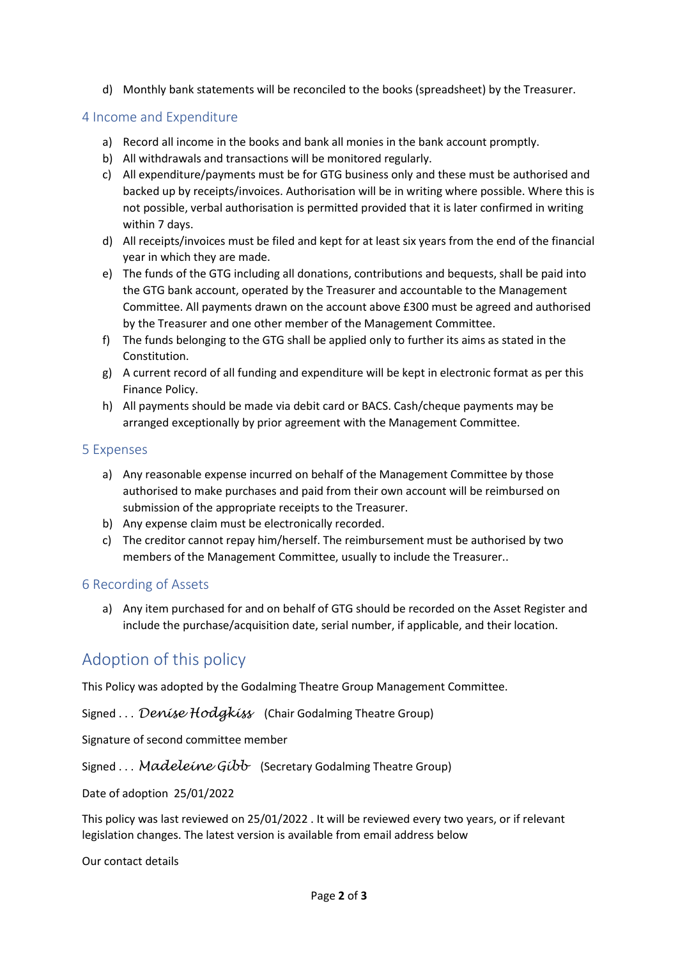d) Monthly bank statements will be reconciled to the books (spreadsheet) by the Treasurer.

#### 4 Income and Expenditure

- a) Record all income in the books and bank all monies in the bank account promptly.
- b) All withdrawals and transactions will be monitored regularly.
- c) All expenditure/payments must be for GTG business only and these must be authorised and backed up by receipts/invoices. Authorisation will be in writing where possible. Where this is not possible, verbal authorisation is permitted provided that it is later confirmed in writing within 7 days.
- d) All receipts/invoices must be filed and kept for at least six years from the end of the financial year in which they are made.
- e) The funds of the GTG including all donations, contributions and bequests, shall be paid into the GTG bank account, operated by the Treasurer and accountable to the Management Committee. All payments drawn on the account above £300 must be agreed and authorised by the Treasurer and one other member of the Management Committee.
- f) The funds belonging to the GTG shall be applied only to further its aims as stated in the Constitution.
- g) A current record of all funding and expenditure will be kept in electronic format as per this Finance Policy.
- h) All payments should be made via debit card or BACS. Cash/cheque payments may be arranged exceptionally by prior agreement with the Management Committee.

#### 5 Expenses

- a) Any reasonable expense incurred on behalf of the Management Committee by those authorised to make purchases and paid from their own account will be reimbursed on submission of the appropriate receipts to the Treasurer.
- b) Any expense claim must be electronically recorded.
- c) The creditor cannot repay him/herself. The reimbursement must be authorised by two members of the Management Committee, usually to include the Treasurer..

#### 6 Recording of Assets

a) Any item purchased for and on behalf of GTG should be recorded on the Asset Register and include the purchase/acquisition date, serial number, if applicable, and their location.

# Adoption of this policy

This Policy was adopted by the Godalming Theatre Group Management Committee.

Signed . . . *Denise Hodgkiss* (Chair Godalming Theatre Group)

Signature of second committee member

Signed . . . *Madeleine Gibb* (Secretary Godalming Theatre Group)

Date of adoption 25/01/2022

This policy was last reviewed on 25/01/2022 . It will be reviewed every two years, or if relevant legislation changes. The latest version is available from email address below

Our contact details